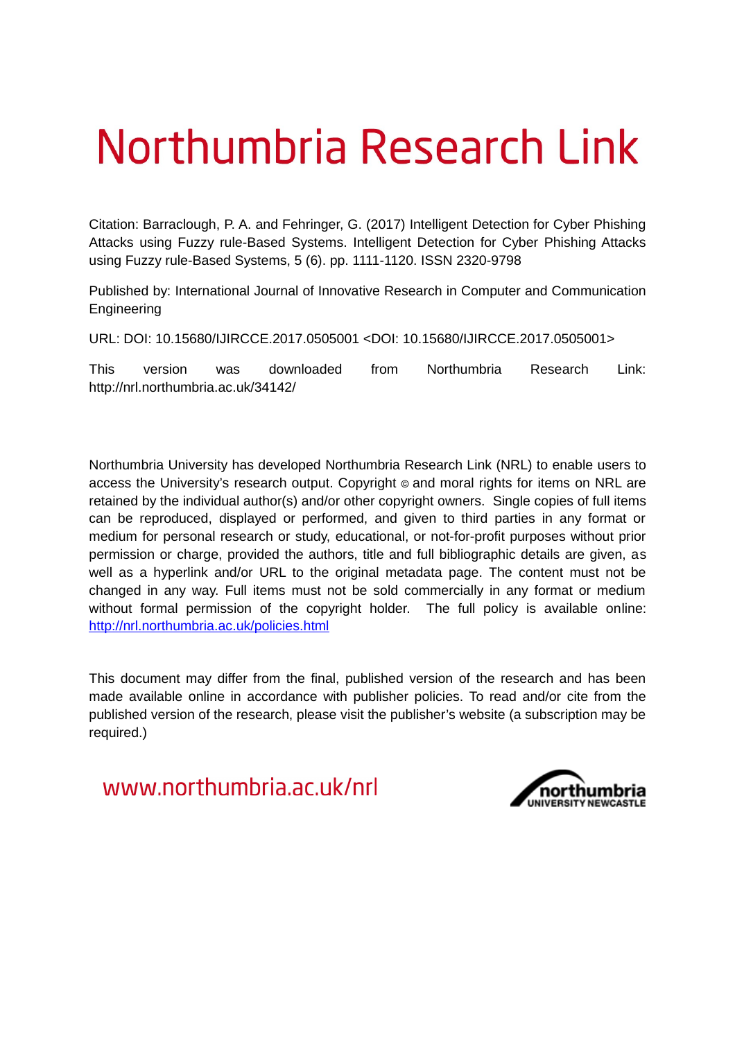# Northumbria Research Link

Citation: Barraclough, P. A. and Fehringer, G. (2017) Intelligent Detection for Cyber Phishing Attacks using Fuzzy rule-Based Systems. Intelligent Detection for Cyber Phishing Attacks using Fuzzy rule-Based Systems, 5 (6). pp. 1111-1120. ISSN 2320-9798

Published by: International Journal of Innovative Research in Computer and Communication Engineering

URL: DOI: 10.15680/IJIRCCE.2017.0505001 <DOI: 10.15680/IJIRCCE.2017.0505001>

This version was downloaded from Northumbria Research Link: http://nrl.northumbria.ac.uk/34142/

Northumbria University has developed Northumbria Research Link (NRL) to enable users to access the University's research output. Copyright  $\circ$  and moral rights for items on NRL are retained by the individual author(s) and/or other copyright owners. Single copies of full items can be reproduced, displayed or performed, and given to third parties in any format or medium for personal research or study, educational, or not-for-profit purposes without prior permission or charge, provided the authors, title and full bibliographic details are given, as well as a hyperlink and/or URL to the original metadata page. The content must not be changed in any way. Full items must not be sold commercially in any format or medium without formal permission of the copyright holder. The full policy is available online: <http://nrl.northumbria.ac.uk/policies.html>

This document may differ from the final, published version of the research and has been made available online in accordance with publisher policies. To read and/or cite from the published version of the research, please visit the publisher's website (a subscription may be required.)

www.northumbria.ac.uk/nrl

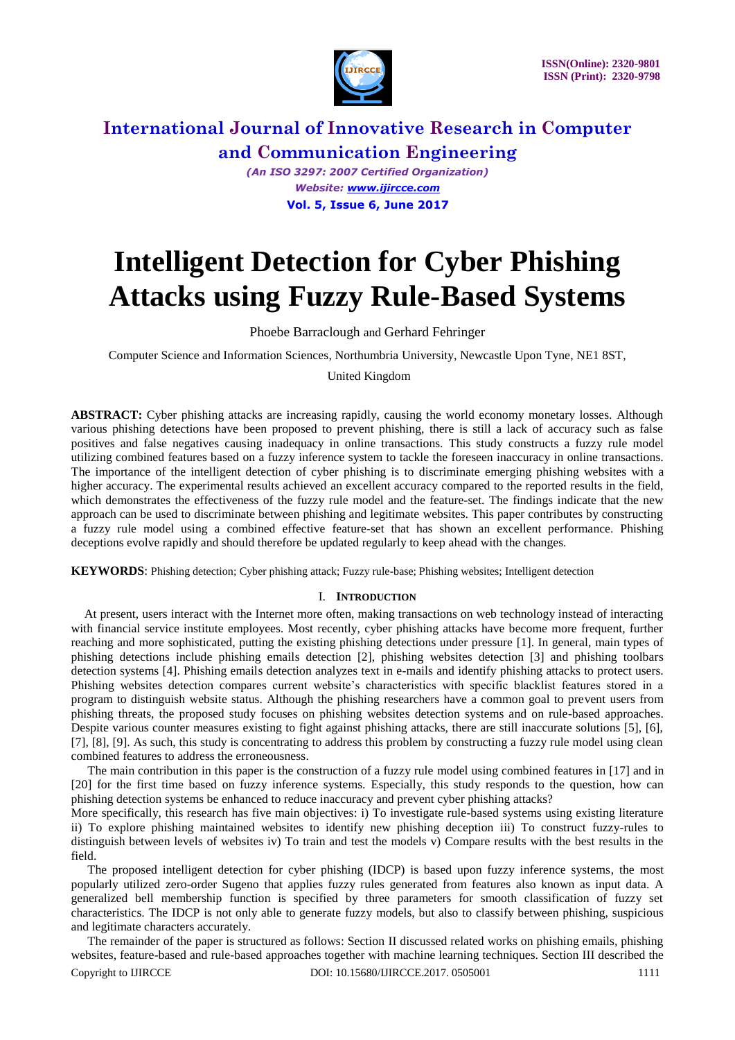

*(An ISO 3297: 2007 Certified Organization) Website: [www.ijircce.com](http://www.ijircce.com/)*  **Vol. 5, Issue 6, June 2017** 

## **Intelligent Detection for Cyber Phishing Attacks using Fuzzy Rule-Based Systems**

#### Phoebe Barraclough and Gerhard Fehringer

Computer Science and Information Sciences, Northumbria University, Newcastle Upon Tyne, NE1 8ST,

United Kingdom

**ABSTRACT:** Cyber phishing attacks are increasing rapidly, causing the world economy monetary losses. Although various phishing detections have been proposed to prevent phishing, there is still a lack of accuracy such as false positives and false negatives causing inadequacy in online transactions. This study constructs a fuzzy rule model utilizing combined features based on a fuzzy inference system to tackle the foreseen inaccuracy in online transactions. The importance of the intelligent detection of cyber phishing is to discriminate emerging phishing websites with a higher accuracy. The experimental results achieved an excellent accuracy compared to the reported results in the field, which demonstrates the effectiveness of the fuzzy rule model and the feature-set. The findings indicate that the new approach can be used to discriminate between phishing and legitimate websites. This paper contributes by constructing a fuzzy rule model using a combined effective feature-set that has shown an excellent performance. Phishing deceptions evolve rapidly and should therefore be updated regularly to keep ahead with the changes.

**KEYWORDS**: Phishing detection; Cyber phishing attack; Fuzzy rule-base; Phishing websites; Intelligent detection

#### I. **INTRODUCTION**

At present, users interact with the Internet more often, making transactions on web technology instead of interacting with financial service institute employees. Most recently, cyber phishing attacks have become more frequent, further reaching and more sophisticated, putting the existing phishing detections under pressure [1]. In general, main types of phishing detections include phishing emails detection [2], phishing websites detection [3] and phishing toolbars detection systems [4]. Phishing emails detection analyzes text in e-mails and identify phishing attacks to protect users. Phishing websites detection compares current website's characteristics with specific blacklist features stored in a program to distinguish website status. Although the phishing researchers have a common goal to prevent users from phishing threats, the proposed study focuses on phishing websites detection systems and on rule-based approaches. Despite various counter measures existing to fight against phishing attacks, there are still inaccurate solutions [5], [6], [7], [8], [9]. As such, this study is concentrating to address this problem by constructing a fuzzy rule model using clean combined features to address the erroneousness.

The main contribution in this paper is the construction of a fuzzy rule model using combined features in [17] and in [20] for the first time based on fuzzy inference systems. Especially, this study responds to the question, how can phishing detection systems be enhanced to reduce inaccuracy and prevent cyber phishing attacks?

More specifically, this research has five main objectives: i) To investigate rule-based systems using existing literature ii) To explore phishing maintained websites to identify new phishing deception iii) To construct fuzzy-rules to distinguish between levels of websites iv) To train and test the models v) Compare results with the best results in the field.

The proposed intelligent detection for cyber phishing (IDCP) is based upon fuzzy inference systems, the most popularly utilized zero-order Sugeno that applies fuzzy rules generated from features also known as input data. A generalized bell membership function is specified by three parameters for smooth classification of fuzzy set characteristics. The IDCP is not only able to generate fuzzy models, but also to classify between phishing, suspicious and legitimate characters accurately.

Copyright to IJIRCCE **DOI: 10.15680/IJIRCCE.2017.** 0505001 1111 The remainder of the paper is structured as follows: Section II discussed related works on phishing emails, phishing websites, feature-based and rule-based approaches together with machine learning techniques. Section III described the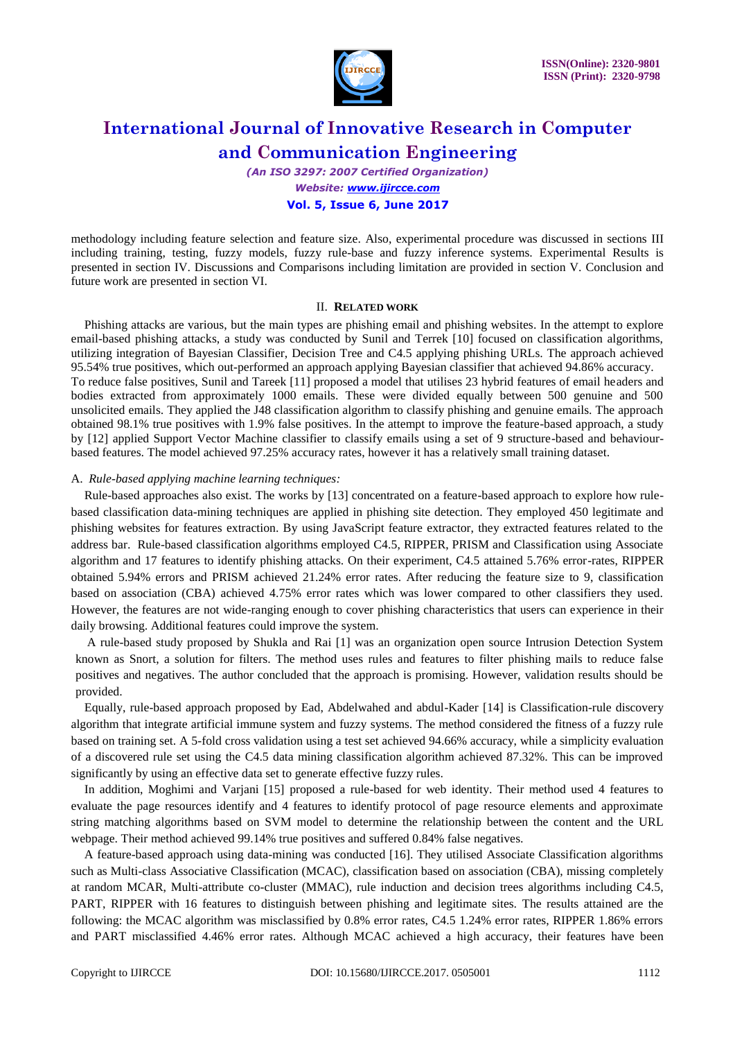

*(An ISO 3297: 2007 Certified Organization) Website: [www.ijircce.com](http://www.ijircce.com/)*  **Vol. 5, Issue 6, June 2017** 

methodology including feature selection and feature size. Also, experimental procedure was discussed in sections III including training, testing, fuzzy models, fuzzy rule-base and fuzzy inference systems. Experimental Results is presented in section IV. Discussions and Comparisons including limitation are provided in section V. Conclusion and future work are presented in section VI.

#### II. **RELATED WORK**

Phishing attacks are various, but the main types are phishing email and phishing websites. In the attempt to explore email-based phishing attacks, a study was conducted by Sunil and Terrek [10] focused on classification algorithms, utilizing integration of Bayesian Classifier, Decision Tree and C4.5 applying phishing URLs. The approach achieved 95.54% true positives, which out-performed an approach applying Bayesian classifier that achieved 94.86% accuracy. To reduce false positives, Sunil and Tareek [11] proposed a model that utilises 23 hybrid features of email headers and bodies extracted from approximately 1000 emails. These were divided equally between 500 genuine and 500 unsolicited emails. They applied the J48 classification algorithm to classify phishing and genuine emails. The approach obtained 98.1% true positives with 1.9% false positives. In the attempt to improve the feature-based approach, a study by [12] applied Support Vector Machine classifier to classify emails using a set of 9 structure-based and behaviourbased features. The model achieved 97.25% accuracy rates, however it has a relatively small training dataset.

#### A. *Rule-based applying machine learning techniques:*

Rule-based approaches also exist. The works by [13] concentrated on a feature-based approach to explore how rulebased classification data-mining techniques are applied in phishing site detection. They employed 450 legitimate and phishing websites for features extraction. By using JavaScript feature extractor, they extracted features related to the address bar. Rule-based classification algorithms employed C4.5, RIPPER, PRISM and Classification using Associate algorithm and 17 features to identify phishing attacks. On their experiment, C4.5 attained 5.76% error-rates, RIPPER obtained 5.94% errors and PRISM achieved 21.24% error rates. After reducing the feature size to 9, classification based on association (CBA) achieved 4.75% error rates which was lower compared to other classifiers they used. However, the features are not wide-ranging enough to cover phishing characteristics that users can experience in their daily browsing. Additional features could improve the system.

 A rule-based study proposed by Shukla and Rai [1] was an organization open source Intrusion Detection System known as Snort, a solution for filters. The method uses rules and features to filter phishing mails to reduce false positives and negatives. The author concluded that the approach is promising. However, validation results should be provided.

Equally, rule-based approach proposed by Ead, Abdelwahed and abdul-Kader [14] is Classification-rule discovery algorithm that integrate artificial immune system and fuzzy systems. The method considered the fitness of a fuzzy rule based on training set. A 5-fold cross validation using a test set achieved 94.66% accuracy, while a simplicity evaluation of a discovered rule set using the C4.5 data mining classification algorithm achieved 87.32%. This can be improved significantly by using an effective data set to generate effective fuzzy rules.

In addition, Moghimi and Varjani [15] proposed a rule-based for web identity. Their method used 4 features to evaluate the page resources identify and 4 features to identify protocol of page resource elements and approximate string matching algorithms based on SVM model to determine the relationship between the content and the URL webpage. Their method achieved 99.14% true positives and suffered 0.84% false negatives.

A feature-based approach using data-mining was conducted [16]. They utilised Associate Classification algorithms such as Multi-class Associative Classification (MCAC), classification based on association (CBA), missing completely at random MCAR, Multi-attribute co-cluster (MMAC), rule induction and decision trees algorithms including C4.5, PART, RIPPER with 16 features to distinguish between phishing and legitimate sites. The results attained are the following: the MCAC algorithm was misclassified by 0.8% error rates, C4.5 1.24% error rates, RIPPER 1.86% errors and PART misclassified 4.46% error rates. Although MCAC achieved a high accuracy, their features have been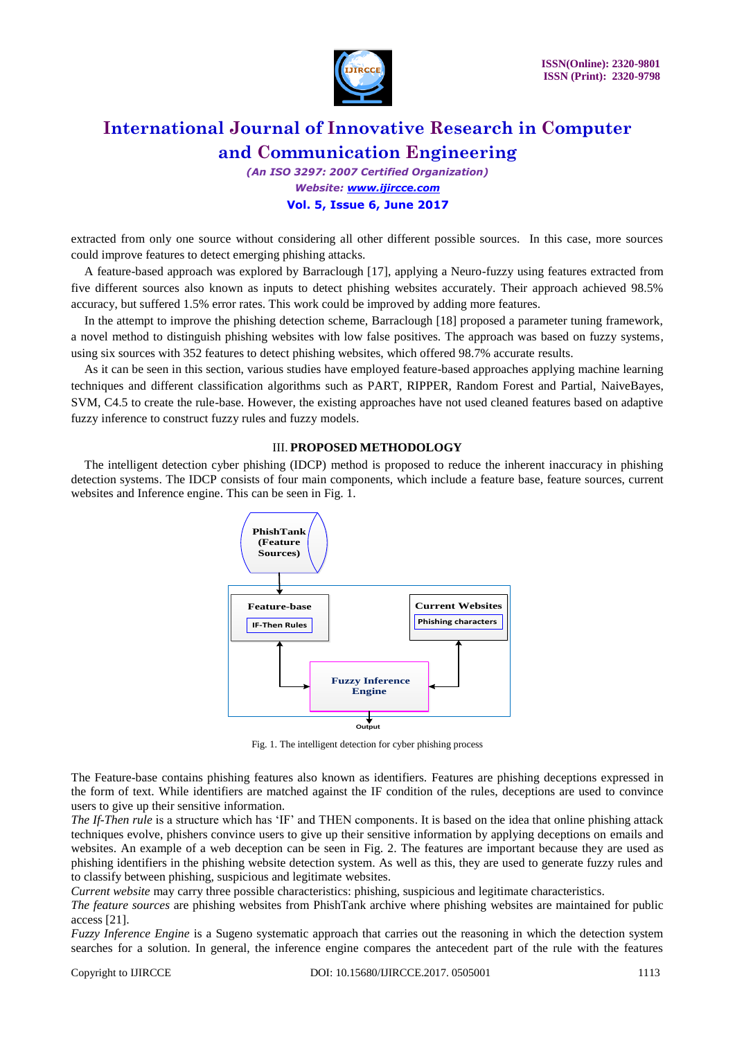

*(An ISO 3297: 2007 Certified Organization) Website: [www.ijircce.com](http://www.ijircce.com/)*  **Vol. 5, Issue 6, June 2017** 

extracted from only one source without considering all other different possible sources. In this case, more sources could improve features to detect emerging phishing attacks.

A feature-based approach was explored by Barraclough [17], applying a Neuro-fuzzy using features extracted from five different sources also known as inputs to detect phishing websites accurately. Their approach achieved 98.5% accuracy, but suffered 1.5% error rates. This work could be improved by adding more features.

In the attempt to improve the phishing detection scheme, Barraclough [18] proposed a parameter tuning framework, a novel method to distinguish phishing websites with low false positives. The approach was based on fuzzy systems, using six sources with 352 features to detect phishing websites, which offered 98.7% accurate results.

As it can be seen in this section, various studies have employed feature-based approaches applying machine learning techniques and different classification algorithms such as PART, RIPPER, Random Forest and Partial, NaiveBayes, SVM, C4.5 to create the rule-base. However, the existing approaches have not used cleaned features based on adaptive fuzzy inference to construct fuzzy rules and fuzzy models.

#### III. **PROPOSED METHODOLOGY**

The intelligent detection cyber phishing (IDCP) method is proposed to reduce the inherent inaccuracy in phishing detection systems. The IDCP consists of four main components, which include a feature base, feature sources, current websites and Inference engine. This can be seen in Fig. 1.



Fig. 1. The intelligent detection for cyber phishing process

The Feature-base contains phishing features also known as identifiers. Features are phishing deceptions expressed in the form of text. While identifiers are matched against the IF condition of the rules, deceptions are used to convince users to give up their sensitive information.

*The If-Then rule* is a structure which has 'IF' and THEN components. It is based on the idea that online phishing attack techniques evolve, phishers convince users to give up their sensitive information by applying deceptions on emails and websites. An example of a web deception can be seen in Fig. 2. The features are important because they are used as phishing identifiers in the phishing website detection system. As well as this, they are used to generate fuzzy rules and to classify between phishing, suspicious and legitimate websites.

*Current website* may carry three possible characteristics: phishing, suspicious and legitimate characteristics.

*The feature sources* are phishing websites from PhishTank archive where phishing websites are maintained for public access [21].

*Fuzzy Inference Engine* is a Sugeno systematic approach that carries out the reasoning in which the detection system searches for a solution. In general, the inference engine compares the antecedent part of the rule with the features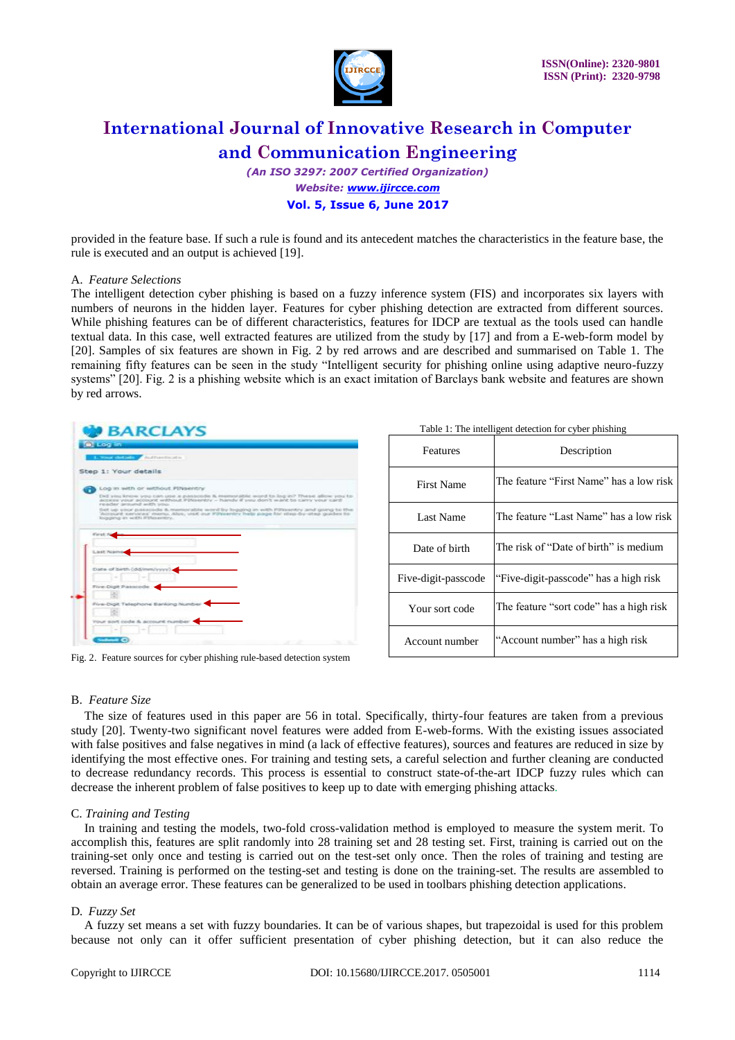

*(An ISO 3297: 2007 Certified Organization) Website: [www.ijircce.com](http://www.ijircce.com/)*  **Vol. 5, Issue 6, June 2017** 

provided in the feature base. If such a rule is found and its antecedent matches the characteristics in the feature base, the rule is executed and an output is achieved [19].

#### A. *Feature Selections*

The intelligent detection cyber phishing is based on a fuzzy inference system (FIS) and incorporates six layers with numbers of neurons in the hidden layer. Features for cyber phishing detection are extracted from different sources. While phishing features can be of different characteristics, features for IDCP are textual as the tools used can handle textual data. In this case, well extracted features are utilized from the study by [17] and from a E-web-form model by [20]. Samples of six features are shown in Fig. 2 by red arrows and are described and summarised on Table 1. The remaining fifty features can be seen in the study "Intelligent security for phishing online using adaptive neuro-fuzzy systems" [20]. Fig. 2 is a phishing website which is an exact imitation of Barclays bank website and features are shown by red arrows.

| <b>BARCLAYS</b>                                                                                                                                                              |
|------------------------------------------------------------------------------------------------------------------------------------------------------------------------------|
| <b>OLERED LINE</b>                                                                                                                                                           |
| <b>In the Committee Authorities</b>                                                                                                                                          |
| Step 1: Your details                                                                                                                                                         |
| Log in with or without Plitsentry                                                                                                                                            |
| Dell you know you can use a passociale & memorable word to log in? These allow you to<br>access your account without Pinsentry - handy if you don't want to carry your card. |
| reader around with you.<br>Set up your passcode it memorable word by logging an with Pillipsritry and going to the                                                           |
| Woopunt services' memo, Ales, use our PDVeenbry help page for step by step guides to<br>logisting in with Pthianitty.                                                        |
|                                                                                                                                                                              |
| First:1                                                                                                                                                                      |
|                                                                                                                                                                              |
| <b>Liest Nian</b>                                                                                                                                                            |
|                                                                                                                                                                              |
| Date of birth (dd/mm/yyyy).                                                                                                                                                  |
|                                                                                                                                                                              |
| Five-Digit Passrode                                                                                                                                                          |
|                                                                                                                                                                              |
| Five-Digit Telephone Banking Number                                                                                                                                          |
|                                                                                                                                                                              |
| Your sort code & account number                                                                                                                                              |
|                                                                                                                                                                              |
|                                                                                                                                                                              |
| Gallery C                                                                                                                                                                    |

Fig. 2. Feature sources for cyber phishing rule-based detection system

| Table 1: The intelligent detection for cyber phishing |  |  |
|-------------------------------------------------------|--|--|
|-------------------------------------------------------|--|--|

| Features            | Description                             |  |
|---------------------|-----------------------------------------|--|
| <b>First Name</b>   | The feature "First Name" has a low risk |  |
| Last Name           | The feature "Last Name" has a low risk  |  |
| Date of birth       | The risk of "Date of birth" is medium   |  |
| Five-digit-passcode | "Five-digit-passcode" has a high risk   |  |
| Your sort code      | The feature "sort code" has a high risk |  |
| Account number      | "Account number" has a high risk        |  |

#### B. *Feature Size*

The size of features used in this paper are 56 in total. Specifically, thirty-four features are taken from a previous study [20]. Twenty-two significant novel features were added from E-web-forms. With the existing issues associated with false positives and false negatives in mind (a lack of effective features), sources and features are reduced in size by identifying the most effective ones. For training and testing sets, a careful selection and further cleaning are conducted to decrease redundancy records. This process is essential to construct state-of-the-art IDCP fuzzy rules which can decrease the inherent problem of false positives to keep up to date with emerging phishing attacks.

#### C. *Training and Testing*

In training and testing the models, two-fold cross-validation method is employed to measure the system merit. To accomplish this, features are split randomly into 28 training set and 28 testing set. First, training is carried out on the training-set only once and testing is carried out on the test-set only once. Then the roles of training and testing are reversed. Training is performed on the testing-set and testing is done on the training-set. The results are assembled to obtain an average error. These features can be generalized to be used in toolbars phishing detection applications.

#### D*. Fuzzy Set*

A fuzzy set means a set with fuzzy boundaries. It can be of various shapes, but trapezoidal is used for this problem because not only can it offer sufficient presentation of cyber phishing detection, but it can also reduce the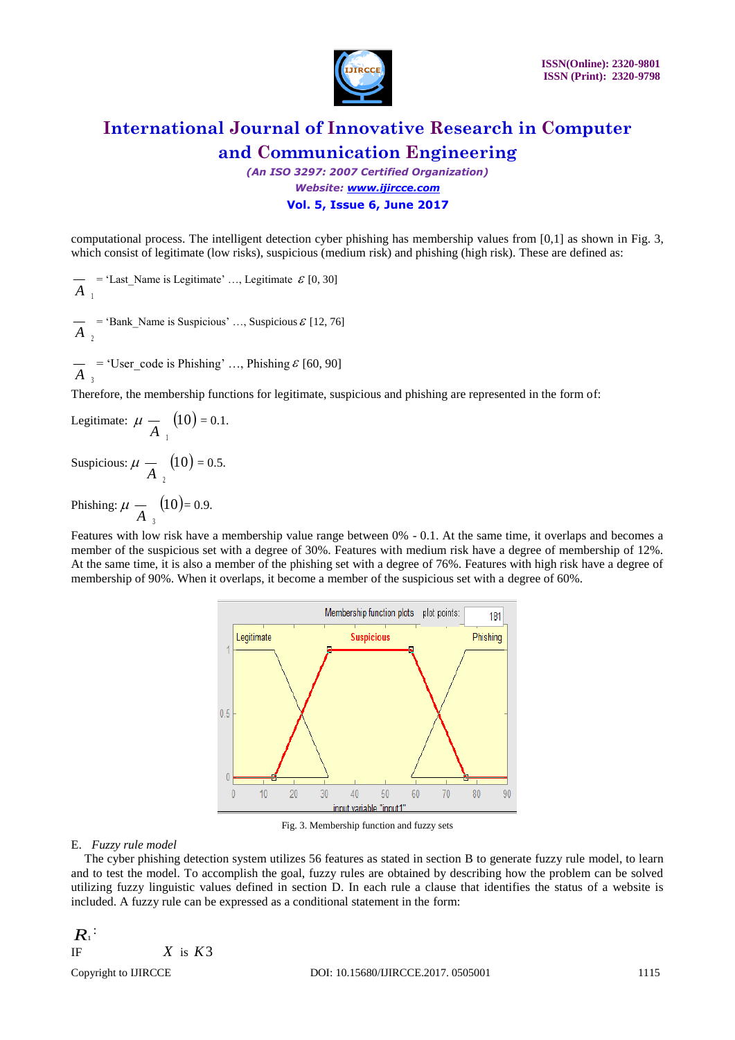

*(An ISO 3297: 2007 Certified Organization) Website: [www.ijircce.com](http://www.ijircce.com/)*  **Vol. 5, Issue 6, June 2017** 

computational process. The intelligent detection cyber phishing has membership values from [0,1] as shown in Fig. 3, which consist of legitimate (low risks), suspicious (medium risk) and phishing (high risk). These are defined as:

 $A_1$ = 'Last Name is Legitimate' ..., Legitimate  $\mathcal{E}[0, 30]$ 

 $\overline{A}_2$  = 'Bank\_Name is Suspicious' ..., Suspicious  $\mathcal{E}$  [12, 76]

 $A_3$  $=$  'User\_code is Phishing' ..., Phishing  $\mathcal{E}$  [60, 90]

Therefore, the membership functions for legitimate, suspicious and phishing are represented in the form of:

Legitimate:  $\mu - A_1$  $(10) = 0.1.$ Suspicious:  $\mu \frac{\ }{A}$ <sub>2</sub>  $(10) = 0.5.$ 

Phishing:  $\mu - \frac{A}{A}$  $(10)$ = 0.9.

Features with low risk have a membership value range between 0% - 0.1. At the same time, it overlaps and becomes a member of the suspicious set with a degree of 30%. Features with medium risk have a degree of membership of 12%. At the same time, it is also a member of the phishing set with a degree of 76%. Features with high risk have a degree of membership of 90%. When it overlaps, it become a member of the suspicious set with a degree of 60%.



Fig. 3. Membership function and fuzzy sets

#### E. *Fuzzy rule model*

The cyber phishing detection system utilizes 56 features as stated in section B to generate fuzzy rule model, to learn and to test the model. To accomplish the goal, fuzzy rules are obtained by describing how the problem can be solved utilizing fuzzy linguistic values defined in section D. In each rule a clause that identifies the status of a website is included. A fuzzy rule can be expressed as a conditional statement in the form:

$$
\begin{array}{c}\nR_1^{\;\cdot} \\
\text{IF} \\
X \text{ is } K3\n\end{array}
$$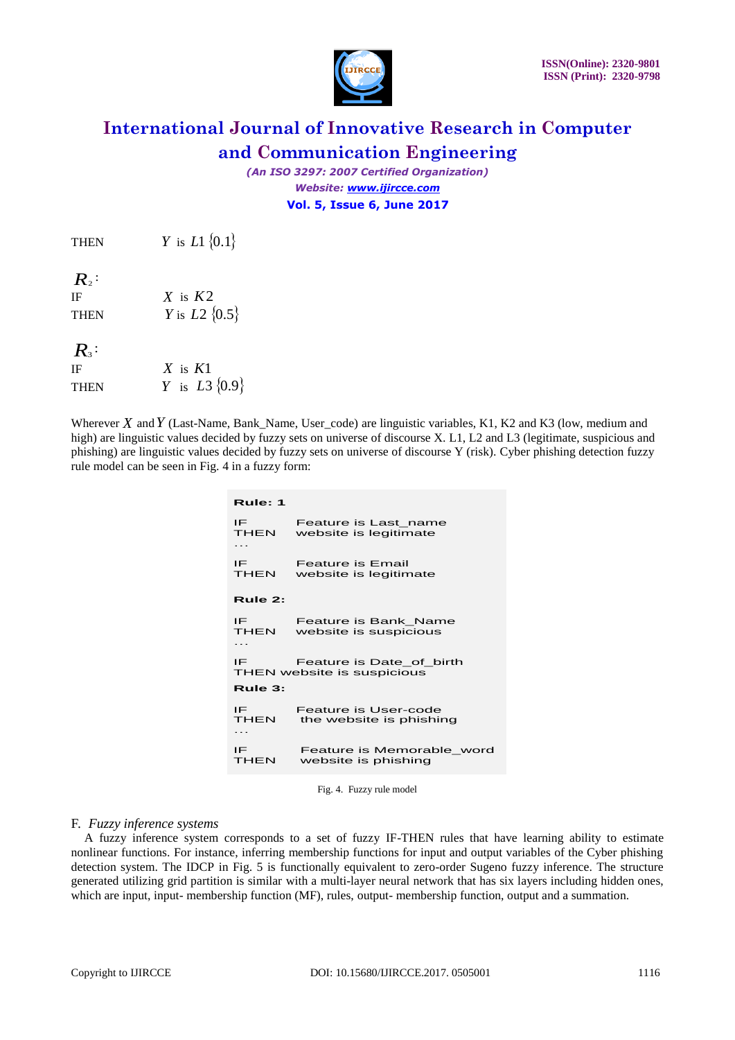

*(An ISO 3297: 2007 Certified Organization) Website: [www.ijircce.com](http://www.ijircce.com/)*  **Vol. 5, Issue 6, June 2017** 

**THEN** *Y* is *L*1  $\{0.1\}$ 

 $R<sub>2</sub>$ :

IF *X* is *K*2 THEN *Y* is *L*2  $\{0.5\}$ 

 $R_3$ 

| IF          | X is $K1$                        |
|-------------|----------------------------------|
| <b>THEN</b> | <i>Y</i> is <i>L</i> 3 $\{0.9\}$ |

Wherever X and Y (Last-Name, Bank\_Name, User\_code) are linguistic variables, K1, K2 and K3 (low, medium and high) are linguistic values decided by fuzzy sets on universe of discourse X. L1, L2 and L3 (legitimate, suspicious and phishing) are linguistic values decided by fuzzy sets on universe of discourse Y (risk). Cyber phishing detection fuzzy rule model can be seen in Fig. 4 in a fuzzy form:

| Rule: 1                |                                                        |  |  |  |
|------------------------|--------------------------------------------------------|--|--|--|
| IF<br><b>THEN</b><br>. | Feature is Last name<br>website is legitimate          |  |  |  |
| IE<br><b>THEN</b>      | <b>Feature is Email</b><br>website is legitimate       |  |  |  |
| Rule 2:                |                                                        |  |  |  |
| IF<br><b>THEN</b><br>. | Feature is Bank Name<br>website is suspicious          |  |  |  |
| IE                     | Feature is Date of birth<br>THEN website is suspicious |  |  |  |
| Rule 3:                |                                                        |  |  |  |
| IE<br>THEN<br>.        | Feature is User-code<br>the website is phishing        |  |  |  |
| IF<br>THEN             | Feature is Memorable word<br>website is phishing       |  |  |  |

Fig. 4. Fuzzy rule model

#### F. *Fuzzy inference systems*

A fuzzy inference system corresponds to a set of fuzzy IF-THEN rules that have learning ability to estimate nonlinear functions. For instance, inferring membership functions for input and output variables of the Cyber phishing detection system. The IDCP in Fig. 5 is functionally equivalent to zero-order Sugeno fuzzy inference. The structure generated utilizing grid partition is similar with a multi-layer neural network that has six layers including hidden ones, which are input, input- membership function (MF), rules, output- membership function, output and a summation.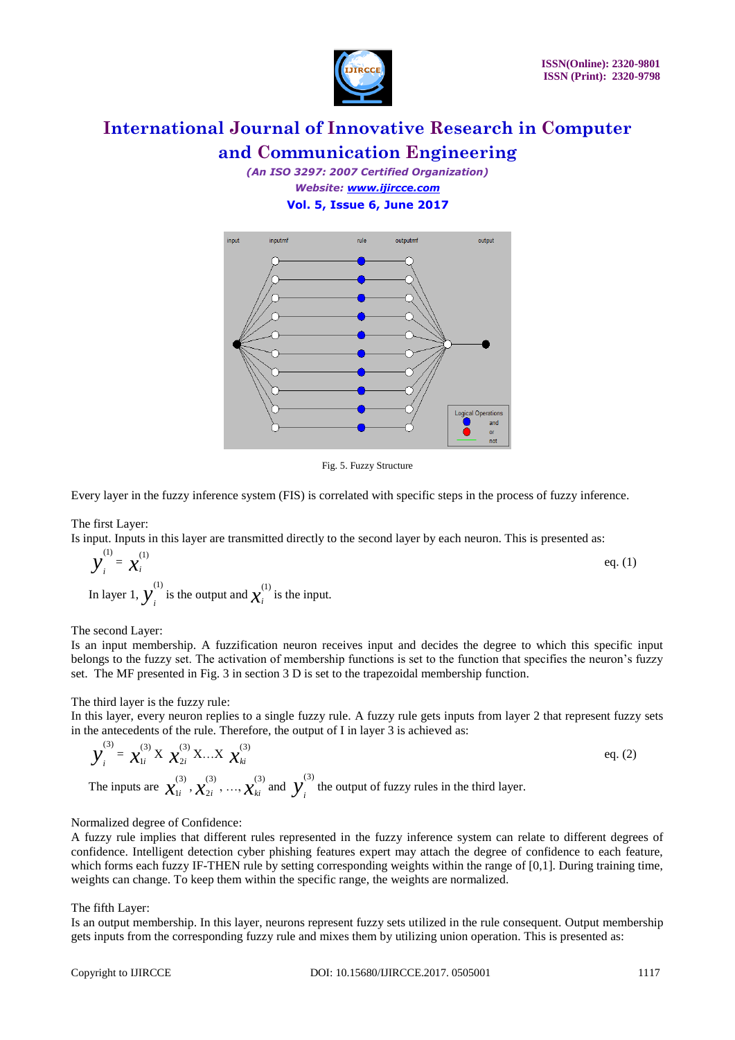

*(An ISO 3297: 2007 Certified Organization) Website: [www.ijircce.com](http://www.ijircce.com/)*  **Vol. 5, Issue 6, June 2017** 



Fig. 5. Fuzzy Structure

Every layer in the fuzzy inference system (FIS) is correlated with specific steps in the process of fuzzy inference.

#### The first Layer:

Is input. Inputs in this layer are transmitted directly to the second layer by each neuron. This is presented as:

$$
y_i^{(1)} = x_i^{(1)}
$$
 eq. (1)

In layer 1,  $y_i^{(1)}$  is the output and  $x_i^{(1)}$  is the input.

#### The second Layer:

Is an input membership. A fuzzification neuron receives input and decides the degree to which this specific input belongs to the fuzzy set. The activation of membership functions is set to the function that specifies the neuron's fuzzy set. The MF presented in Fig. 3 in section 3 D is set to the trapezoidal membership function.

#### The third layer is the fuzzy rule:

In this layer, every neuron replies to a single fuzzy rule. A fuzzy rule gets inputs from layer 2 that represent fuzzy sets in the antecedents of the rule. Therefore, the output of I in layer 3 is achieved as:

$$
\mathbf{y}_{i}^{(3)} = \mathbf{x}_{1i}^{(3)} \mathbf{X} \mathbf{x}_{2i}^{(3)} \mathbf{X} \dots \mathbf{X} \mathbf{x}_{ki}^{(3)}
$$
\n
$$
\mathbf{y}_{1i}^{(3)} = \mathbf{x}_{1i}^{(3)} \mathbf{x}_{2i}^{(3)} \mathbf{x}_{2i}^{(3)}, \dots, \mathbf{x}_{ki}^{(3)}
$$
\n
$$
\mathbf{y}_{i}^{(3)}
$$
\nThe inputs are  $\mathbf{x}_{1i}^{(3)} \mathbf{x}_{2i}^{(3)}, \dots, \mathbf{x}_{ki}^{(3)}$  and  $\mathbf{y}_{i}^{(3)}$  the output of fuzzy rules in the third layer.

#### Normalized degree of Confidence:

A fuzzy rule implies that different rules represented in the fuzzy inference system can relate to different degrees of confidence. Intelligent detection cyber phishing features expert may attach the degree of confidence to each feature, which forms each fuzzy IF-THEN rule by setting corresponding weights within the range of  $[0,1]$ . During training time, weights can change. To keep them within the specific range, the weights are normalized.

#### The fifth Layer:

Is an output membership. In this layer, neurons represent fuzzy sets utilized in the rule consequent. Output membership gets inputs from the corresponding fuzzy rule and mixes them by utilizing union operation. This is presented as: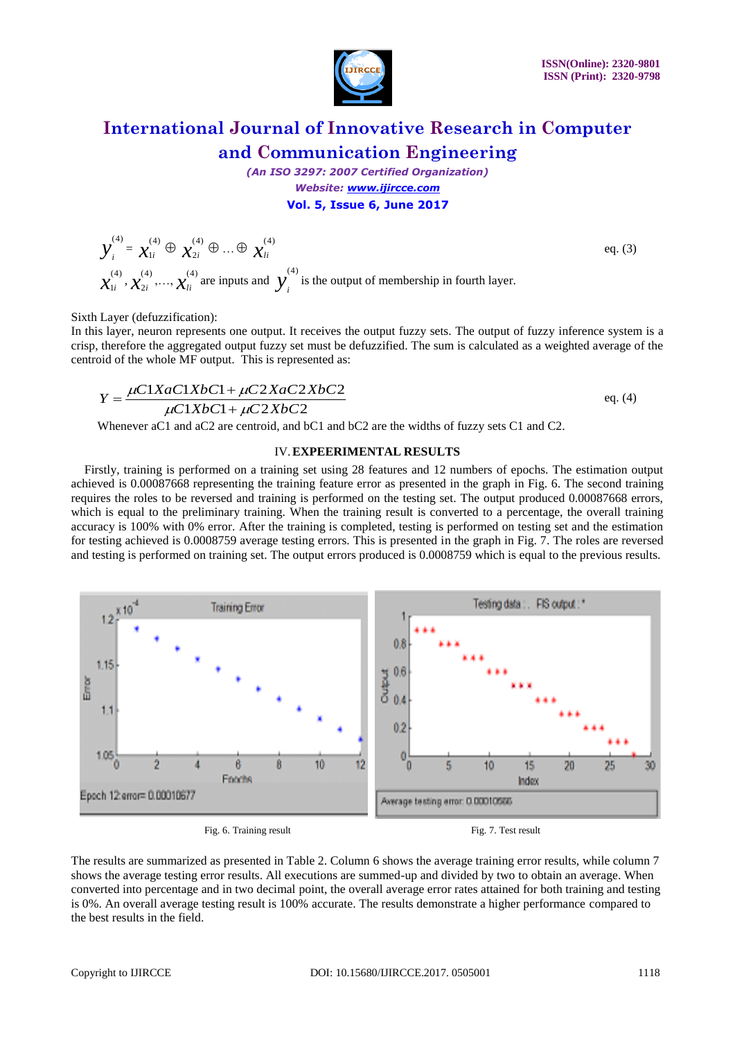

eq. (3)

## **International Journal of Innovative Research in Computer and Communication Engineering**

*(An ISO 3297: 2007 Certified Organization) Website: [www.ijircce.com](http://www.ijircce.com/)*  **Vol. 5, Issue 6, June 2017** 

 $y_i^{(4)} = x_{1i}^{(4)}$  $\chi^{(4)}_{1i} \oplus \chi^{(4)}_{2i}$  $\chi_{2i}^{(4)} \oplus ... \oplus \chi_{li}^{(4)}$  $\chi^{^{(4)}}_{\scriptscriptstyle 1i}$  $\hat{\mathbf{x}}_{1i}^{(4)}$  ,  $\mathbf{\hat{\mathcal{X}}}_{2i}^{(4)}$  $\chi_{2i}^{(4)}$ ,...,  $\chi_{li}^{(4)}$  are inputs and  $y_i^{(4)}$  is the output of membership in fourth layer.

Sixth Layer (defuzzification):

In this layer, neuron represents one output. It receives the output fuzzy sets. The output of fuzzy inference system is a crisp, therefore the aggregated output fuzzy set must be defuzzified. The sum is calculated as a weighted average of the centroid of the whole MF output. This is represented as:

$$
Y = \frac{\mu C 1 X a C 1 X b C 1 + \mu C 2 X a C 2 X b C 2}{\mu C 1 X b C 1 + \mu C 2 X b C 2}
$$
eq. (4)

Whenever aC1 and aC2 are centroid, and bC1 and bC2 are the widths of fuzzy sets C1 and C2.

#### IV.**EXPEERIMENTAL RESULTS**

Firstly, training is performed on a training set using 28 features and 12 numbers of epochs. The estimation output achieved is 0.00087668 representing the training feature error as presented in the graph in Fig. 6. The second training requires the roles to be reversed and training is performed on the testing set. The output produced 0.00087668 errors, which is equal to the preliminary training. When the training result is converted to a percentage, the overall training accuracy is 100% with 0% error. After the training is completed, testing is performed on testing set and the estimation for testing achieved is 0.0008759 average testing errors. This is presented in the graph in Fig. 7. The roles are reversed and testing is performed on training set. The output errors produced is 0.0008759 which is equal to the previous results.



Fig. 6. Training result Fig. 7. Test result

The results are summarized as presented in Table 2. Column 6 shows the average training error results, while column 7 shows the average testing error results. All executions are summed-up and divided by two to obtain an average. When converted into percentage and in two decimal point, the overall average error rates attained for both training and testing is 0%. An overall average testing result is 100% accurate. The results demonstrate a higher performance compared to the best results in the field.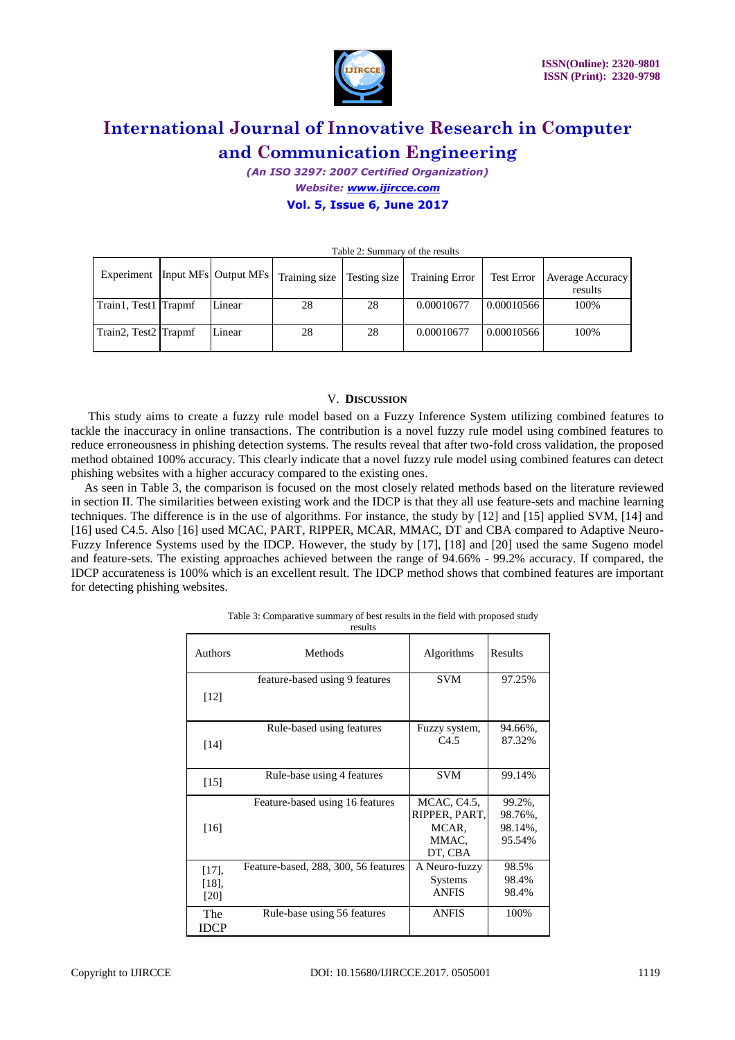

*(An ISO 3297: 2007 Certified Organization) Website: [www.ijircce.com](http://www.ijircce.com/)*  **Vol. 5, Issue 6, June 2017** 

| $1$ avit $2$ . Duminal v of the results |  |        |                                                                    |    |                       |            |                             |
|-----------------------------------------|--|--------|--------------------------------------------------------------------|----|-----------------------|------------|-----------------------------|
|                                         |  |        | Experiment   Input MFs   Output MFs   Training size   Testing size |    | <b>Training Error</b> | Test Error | Average Accuracy<br>results |
| Train1, Test1 Trapmf                    |  | Linear | 28                                                                 | 28 | 0.00010677            | 0.00010566 | 100%                        |
| Train2, Test2 Trapmf                    |  | Linear | 28                                                                 | 28 | 0.00010677            | 0.00010566 | 100%                        |

Table 2: Summary of the results

#### V. **DISCUSSION**

This study aims to create a fuzzy rule model based on a Fuzzy Inference System utilizing combined features to tackle the inaccuracy in online transactions. The contribution is a novel fuzzy rule model using combined features to reduce erroneousness in phishing detection systems. The results reveal that after two-fold cross validation, the proposed method obtained 100% accuracy. This clearly indicate that a novel fuzzy rule model using combined features can detect phishing websites with a higher accuracy compared to the existing ones.

As seen in Table 3, the comparison is focused on the most closely related methods based on the literature reviewed in section II. The similarities between existing work and the IDCP is that they all use feature-sets and machine learning techniques. The difference is in the use of algorithms. For instance, the study by [12] and [15] applied SVM, [14] and [16] used C4.5. Also [16] used MCAC, PART, RIPPER, MCAR, MMAC, DT and CBA compared to Adaptive Neuro-Fuzzy Inference Systems used by the IDCP. However, the study by [17], [18] and [20] used the same Sugeno model and feature-sets. The existing approaches achieved between the range of 94.66% - 99.2% accuracy. If compared, the IDCP accurateness is 100% which is an excellent result. The IDCP method shows that combined features are important for detecting phishing websites.

| Authors     | Methods                              | Algorithms       | Results |  |
|-------------|--------------------------------------|------------------|---------|--|
|             | feature-based using 9 features       | <b>SVM</b>       | 97.25%  |  |
| [12]        |                                      |                  |         |  |
|             | Rule-based using features            | Fuzzy system,    | 94.66%, |  |
| $[14]$      |                                      | C <sub>4.5</sub> | 87.32%  |  |
|             |                                      |                  |         |  |
| [15]        | Rule-base using 4 features           | <b>SVM</b>       | 99.14%  |  |
|             |                                      |                  |         |  |
|             | Feature-based using 16 features      | MCAC, C4.5,      | 99.2%,  |  |
|             |                                      | RIPPER, PART,    | 98.76%, |  |
| [16]        |                                      | MCAR.            | 98.14%. |  |
|             |                                      | MMAC.            | 95.54%  |  |
|             |                                      | DT, CBA          |         |  |
| $[17]$ ,    | Feature-based, 288, 300, 56 features | A Neuro-fuzzy    | 98.5%   |  |
| $[18]$ ,    |                                      | <b>Systems</b>   | 98.4%   |  |
| [20]        |                                      | <b>ANFIS</b>     | 98.4%   |  |
| The         | Rule-base using 56 features          | <b>ANFIS</b>     | 100%    |  |
| <b>IDCP</b> |                                      |                  |         |  |

Table 3: Comparative summary of best results in the field with proposed study results